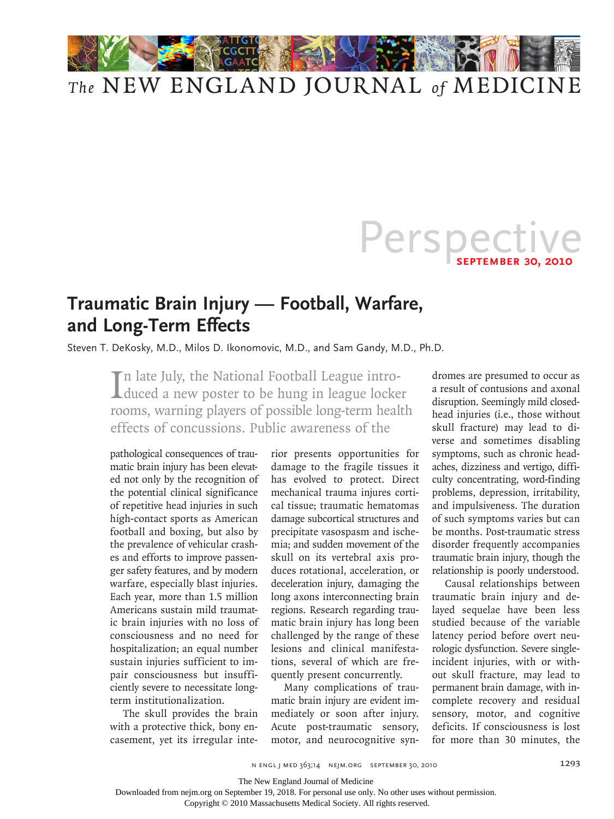

## *The* NEW ENGLAND JOURNAL *of* MEDICINE

## Perspective

## **Traumatic Brain Injury — Football, Warfare, and Long-Term Effects**

Steven T. DeKosky, M.D., Milos D. Ikonomovic, M.D., and Sam Gandy, M.D., Ph.D.

In late July, the National Football League intro-<br>duced a new poster to be hung in league locke **L**duced a new poster to be hung in league locker rooms, warning players of possible long-term health effects of concussions. Public awareness of the

pathological consequences of traumatic brain injury has been elevated not only by the recognition of the potential clinical significance of repetitive head injuries in such high-contact sports as American football and boxing, but also by the prevalence of vehicular crashes and efforts to improve passenger safety features, and by modern warfare, especially blast injuries. Each year, more than 1.5 million Americans sustain mild traumatic brain injuries with no loss of consciousness and no need for hospitalization; an equal number sustain injuries sufficient to impair consciousness but insufficiently severe to necessitate longterm institutionalization.

The skull provides the brain with a protective thick, bony encasement, yet its irregular interior presents opportunities for damage to the fragile tissues it has evolved to protect. Direct mechanical trauma injures cortical tissue; traumatic hematomas damage subcortical structures and precipitate vasospasm and ischemia; and sudden movement of the skull on its vertebral axis produces rotational, acceleration, or deceleration injury, damaging the long axons interconnecting brain regions. Research regarding traumatic brain injury has long been challenged by the range of these lesions and clinical manifestations, several of which are frequently present concurrently.

Many complications of traumatic brain injury are evident immediately or soon after injury. Acute post-traumatic sensory, motor, and neurocognitive syn-

dromes are presumed to occur as a result of contusions and axonal disruption. Seemingly mild closedhead injuries (i.e., those without skull fracture) may lead to diverse and sometimes disabling symptoms, such as chronic headaches, dizziness and vertigo, difficulty concentrating, word-finding problems, depression, irritability, and impulsiveness. The duration of such symptoms varies but can be months. Post-traumatic stress disorder frequently accompanies traumatic brain injury, though the relationship is poorly understood.

Causal relationships between traumatic brain injury and delayed sequelae have been less studied because of the variable latency period before overt neurologic dysfunction. Severe singleincident injuries, with or without skull fracture, may lead to permanent brain damage, with incomplete recovery and residual sensory, motor, and cognitive deficits. If consciousness is lost for more than 30 minutes, the

The New England Journal of Medicine

Downloaded from nejm.org on September 19, 2018. For personal use only. No other uses without permission.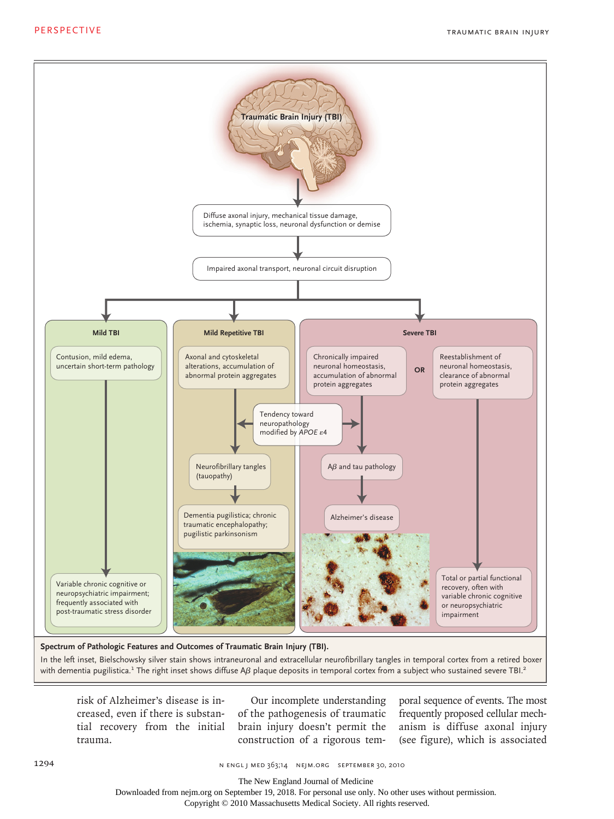

In the left inset, Bielschowsky silver stain shows intraneuronal and extracellular neurofibrillary tangles in temporal cortex from a retired boxer with dementia pugilistica.<sup>1</sup> The right inset shows diffuse A $\beta$  plaque deposits in temporal cortex from a subject who sustained severe TBI.<sup>2</sup>

risk of Alzheimer's disease is increased, even if there is substantial recovery from the initial trauma.

Our incomplete understanding of the pathogenesis of traumatic brain injury doesn't permit the construction of a rigorous tem-

poral sequence of events. The most frequently proposed cellular mechanism is diffuse axonal injury (see figure), which is associated

1294 n engl j med 363;14 nejm.org september 30, 2010

The New England Journal of Medicine

Downloaded from nejm.org on September 19, 2018. For personal use only. No other uses without permission.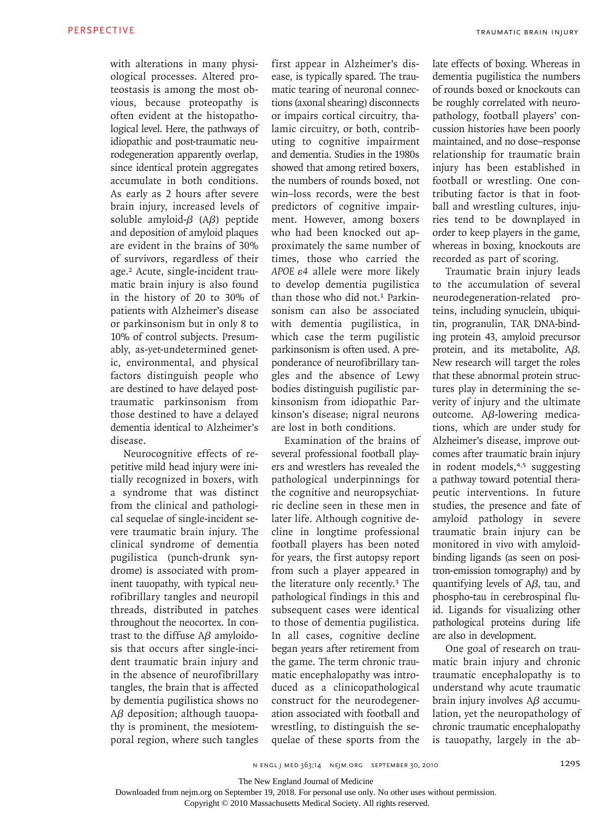with alterations in many physiological processes. Altered proteostasis is among the most obvious, because proteopathy is often evident at the histopathological level. Here, the pathways of idiopathic and post-traumatic neurodegeneration apparently overlap, since identical protein aggregates accumulate in both conditions. As early as 2 hours after severe brain injury, increased levels of soluble amyloid-β (Aβ) peptide and deposition of amyloid plaques are evident in the brains of 30% of survivors, regardless of their age.2 Acute, single-incident traumatic brain injury is also found in the history of 20 to 30% of patients with Alzheimer's disease or parkinsonism but in only 8 to 10% of control subjects. Presumably, as-yet-undetermined genetic, environmental, and physical factors distinguish people who are destined to have delayed posttraumatic parkinsonism from those destined to have a delayed dementia identical to Alzheimer's disease.

Neurocognitive effects of repetitive mild head injury were initially recognized in boxers, with a syndrome that was distinct from the clinical and pathological sequelae of single-incident severe traumatic brain injury. The clinical syndrome of dementia pugilistica (punch-drunk syndrome) is associated with prominent tauopathy, with typical neurofibrillary tangles and neuropil threads, distributed in patches throughout the neocortex. In contrast to the diffuse Aβ amyloidosis that occurs after single-incident traumatic brain injury and in the absence of neurofibrillary tangles, the brain that is affected by dementia pugilistica shows no Aβ deposition; although tauopathy is prominent, the mesiotemporal region, where such tangles

first appear in Alzheimer's disease, is typically spared. The traumatic tearing of neuronal connections (axonal shearing) disconnects or impairs cortical circuitry, thalamic circuitry, or both, contributing to cognitive impairment and dementia. Studies in the 1980s showed that among retired boxers, the numbers of rounds boxed, not win–loss records, were the best predictors of cognitive impairment. However, among boxers who had been knocked out approximately the same number of times, those who carried the *APOE ε4* allele were more likely to develop dementia pugilistica than those who did not.<sup>1</sup> Parkinsonism can also be associated with dementia pugilistica, in which case the term pugilistic parkinsonism is often used. A preponderance of neurofibrillary tangles and the absence of Lewy bodies distinguish pugilistic parkinsonism from idiopathic Parkinson's disease; nigral neurons are lost in both conditions.

Examination of the brains of several professional football players and wrestlers has revealed the pathological underpinnings for the cognitive and neuropsychiatric decline seen in these men in later life. Although cognitive decline in longtime professional football players has been noted for years, the first autopsy report from such a player appeared in the literature only recently.3 The pathological findings in this and subsequent cases were identical to those of dementia pugilistica. In all cases, cognitive decline began years after retirement from the game. The term chronic traumatic encephalopathy was introduced as a clinicopathological construct for the neurodegeneration associated with football and wrestling, to distinguish the sequelae of these sports from the

late effects of boxing. Whereas in dementia pugilistica the numbers of rounds boxed or knockouts can be roughly correlated with neuropathology, football players' concussion histories have been poorly maintained, and no dose–response relationship for traumatic brain injury has been established in football or wrestling. One contributing factor is that in football and wrestling cultures, injuries tend to be downplayed in order to keep players in the game, whereas in boxing, knockouts are recorded as part of scoring.

Traumatic brain injury leads to the accumulation of several neurodegeneration-related proteins, including synuclein, ubiquitin, progranulin, TAR DNA-binding protein 43, amyloid precursor protein, and its metabolite, Aβ. New research will target the roles that these abnormal protein structures play in determining the severity of injury and the ultimate outcome. Aβ-lowering medications, which are under study for Alzheimer's disease, improve outcomes after traumatic brain injury in rodent models,<sup>4,5</sup> suggesting a pathway toward potential therapeutic interventions. In future studies, the presence and fate of amyloid pathology in severe traumatic brain injury can be monitored in vivo with amyloidbinding ligands (as seen on positron-emission tomography) and by quantifying levels of Aβ, tau, and phospho-tau in cerebrospinal fluid. Ligands for visualizing other pathological proteins during life are also in development.

One goal of research on traumatic brain injury and chronic traumatic encephalopathy is to understand why acute traumatic brain injury involves Aβ accumulation, yet the neuropathology of chronic traumatic encephalopathy is tauopathy, largely in the ab-

The New England Journal of Medicine

Downloaded from nejm.org on September 19, 2018. For personal use only. No other uses without permission.